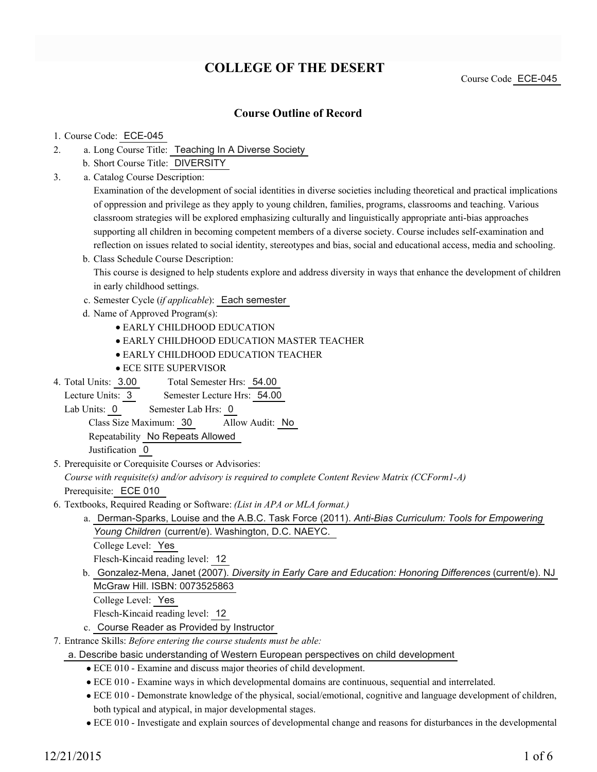# **COLLEGE OF THE DESERT**

Course Code ECE-045

# **Course Outline of Record**

#### 1. Course Code: ECE-045

- a. Long Course Title: Teaching In A Diverse Society 2.
	- b. Short Course Title: DIVERSITY
- Catalog Course Description: a. 3.

Examination of the development of social identities in diverse societies including theoretical and practical implications of oppression and privilege as they apply to young children, families, programs, classrooms and teaching. Various classroom strategies will be explored emphasizing culturally and linguistically appropriate anti-bias approaches supporting all children in becoming competent members of a diverse society. Course includes self-examination and reflection on issues related to social identity, stereotypes and bias, social and educational access, media and schooling.

- b. Class Schedule Course Description: This course is designed to help students explore and address diversity in ways that enhance the development of children in early childhood settings.
- c. Semester Cycle (*if applicable*): Each semester
- d. Name of Approved Program(s):
	- EARLY CHILDHOOD EDUCATION
	- EARLY CHILDHOOD EDUCATION MASTER TEACHER
	- EARLY CHILDHOOD EDUCATION TEACHER
	- ECE SITE SUPERVISOR
- Total Semester Hrs: 54.00 4. Total Units: 3.00
- Lecture Units: 3 Semester Lecture Hrs: 54.00
- Lab Units: 0 Semester Lab Hrs: 0

Class Size Maximum: 30 Allow Audit: No

Repeatability No Repeats Allowed

Justification 0

5. Prerequisite or Corequisite Courses or Advisories:

*Course with requisite(s) and/or advisory is required to complete Content Review Matrix (CCForm1-A)*

Prerequisite: ECE 010

- Textbooks, Required Reading or Software: *(List in APA or MLA format.)* 6.
	- a. Derman-Sparks, Louise and the A.B.C. Task Force (2011). *Anti-Bias Curriculum: Tools for Empowering Young Children* (current/e). Washington, D.C. NAEYC.

College Level: Yes

Flesch-Kincaid reading level: 12

b. Gonzalez-Mena, Janet (2007). *Diversity in Early Care and Education: Honoring Differences* (current/e). NJ McGraw Hill. ISBN: 0073525863

College Level: Yes

Flesch-Kincaid reading level: 12

- c. Course Reader as Provided by Instructor
- Entrance Skills: *Before entering the course students must be able:* 7.
- a. Describe basic understanding of Western European perspectives on child development
	- ECE 010 Examine and discuss major theories of child development.
	- ECE 010 Examine ways in which developmental domains are continuous, sequential and interrelated.
	- ECE 010 Demonstrate knowledge of the physical, social/emotional, cognitive and language development of children, both typical and atypical, in major developmental stages.
	- ECE 010 Investigate and explain sources of developmental change and reasons for disturbances in the developmental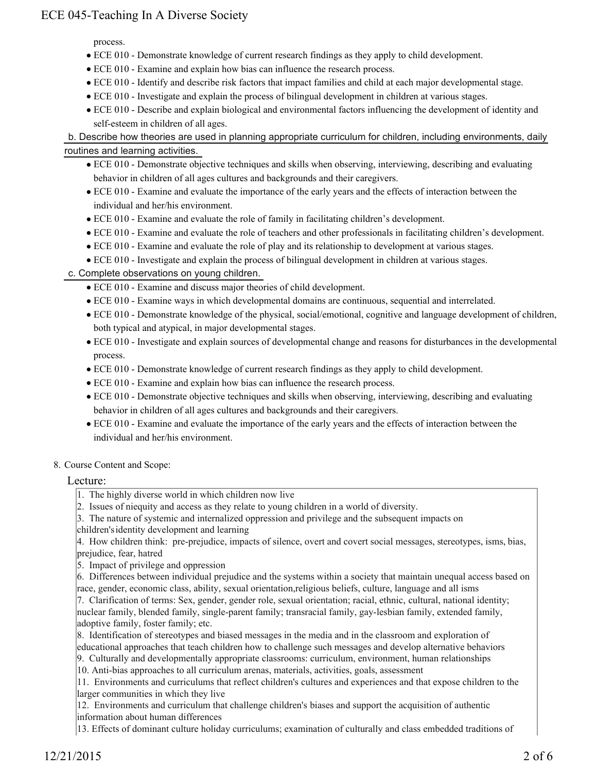process.

- ECE 010 Demonstrate knowledge of current research findings as they apply to child development.
- ECE 010 Examine and explain how bias can influence the research process.
- ECE 010 Identify and describe risk factors that impact families and child at each major developmental stage.
- ECE 010 Investigate and explain the process of bilingual development in children at various stages.
- ECE 010 Describe and explain biological and environmental factors influencing the development of identity and self-esteem in children of all ages.

# b. Describe how theories are used in planning appropriate curriculum for children, including environments, daily routines and learning activities.

- ECE 010 Demonstrate objective techniques and skills when observing, interviewing, describing and evaluating behavior in children of all ages cultures and backgrounds and their caregivers.
- ECE 010 Examine and evaluate the importance of the early years and the effects of interaction between the individual and her/his environment.
- ECE 010 Examine and evaluate the role of family in facilitating children's development.
- ECE 010 Examine and evaluate the role of teachers and other professionals in facilitating children's development.
- ECE 010 Examine and evaluate the role of play and its relationship to development at various stages.
- ECE 010 Investigate and explain the process of bilingual development in children at various stages.

# c. Complete observations on young children.

- ECE 010 Examine and discuss major theories of child development.
- ECE 010 Examine ways in which developmental domains are continuous, sequential and interrelated.
- ECE 010 Demonstrate knowledge of the physical, social/emotional, cognitive and language development of children, both typical and atypical, in major developmental stages.
- ECE 010 Investigate and explain sources of developmental change and reasons for disturbances in the developmental process.
- ECE 010 Demonstrate knowledge of current research findings as they apply to child development.
- ECE 010 Examine and explain how bias can influence the research process.
- ECE 010 Demonstrate objective techniques and skills when observing, interviewing, describing and evaluating behavior in children of all ages cultures and backgrounds and their caregivers.
- ECE 010 Examine and evaluate the importance of the early years and the effects of interaction between the individual and her/his environment.

### 8. Course Content and Scope:

### Lecture:

- 1. The highly diverse world in which children now live
- 2. Issues of niequity and access as they relate to young children in a world of diversity.
- 3. The nature of systemic and internalized oppression and privilege and the subsequent impacts on
- children's identity development and learning

4. How children think: pre-prejudice, impacts of silence, overt and covert social messages, stereotypes, isms, bias, prejudice, fear, hatred

5. Impact of privilege and oppression

- 6. Differences between individual prejudice and the systems within a society that maintain unequal access based on race, gender, economic class, ability, sexual orientation,religious beliefs, culture, language and all isms
- 7. Clarification of terms: Sex, gender, gender role, sexual orientation; racial, ethnic, cultural, national identity; nuclear family, blended family, single-parent family; transracial family, gay-lesbian family, extended family, adoptive family, foster family; etc.
- 8. Identification of stereotypes and biased messages in the media and in the classroom and exploration of educational approaches that teach children how to challenge such messages and develop alternative behaviors
- 9. Culturally and developmentally appropriate classrooms: curriculum, environment, human relationships
- 10. Anti-bias approaches to all curriculum arenas, materials, activities, goals, assessment

11. Environments and curriculums that reflect children's cultures and experiences and that expose children to the larger communities in which they live

12. Environments and curriculum that challenge children's biases and support the acquisition of authentic information about human differences

13. Effects of dominant culture holiday curriculums; examination of culturally and class embedded traditions of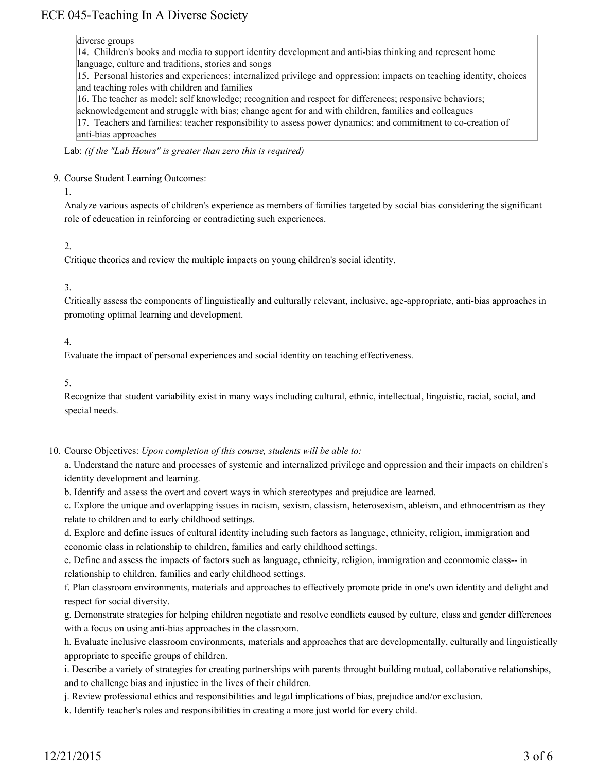#### diverse groups

14. Children's books and media to support identity development and anti-bias thinking and represent home

language, culture and traditions, stories and songs

15. Personal histories and experiences; internalized privilege and oppression; impacts on teaching identity, choices and teaching roles with children and families

16. The teacher as model: self knowledge; recognition and respect for differences; responsive behaviors;

acknowledgement and struggle with bias; change agent for and with children, families and colleagues

17. Teachers and families: teacher responsibility to assess power dynamics; and commitment to co-creation of anti-bias approaches

Lab: *(if the "Lab Hours" is greater than zero this is required)*

#### 9. Course Student Learning Outcomes:

1.

Analyze various aspects of children's experience as members of families targeted by social bias considering the significant role of edcucation in reinforcing or contradicting such experiences.

# 2.

Critique theories and review the multiple impacts on young children's social identity.

# 3.

Critically assess the components of linguistically and culturally relevant, inclusive, age-appropriate, anti-bias approaches in promoting optimal learning and development.

### 4.

Evaluate the impact of personal experiences and social identity on teaching effectiveness.

5.

Recognize that student variability exist in many ways including cultural, ethnic, intellectual, linguistic, racial, social, and special needs.

10. Course Objectives: Upon completion of this course, students will be able to:

a. Understand the nature and processes of systemic and internalized privilege and oppression and their impacts on children's identity development and learning.

b. Identify and assess the overt and covert ways in which stereotypes and prejudice are learned.

c. Explore the unique and overlapping issues in racism, sexism, classism, heterosexism, ableism, and ethnocentrism as they relate to children and to early childhood settings.

d. Explore and define issues of cultural identity including such factors as language, ethnicity, religion, immigration and economic class in relationship to children, families and early childhood settings.

e. Define and assess the impacts of factors such as language, ethnicity, religion, immigration and econmomic class-- in relationship to children, families and early childhood settings.

f. Plan classroom environments, materials and approaches to effectively promote pride in one's own identity and delight and respect for social diversity.

g. Demonstrate strategies for helping children negotiate and resolve condlicts caused by culture, class and gender differences with a focus on using anti-bias approaches in the classroom.

h. Evaluate inclusive classroom environments, materials and approaches that are developmentally, culturally and linguistically appropriate to specific groups of children.

i. Describe a variety of strategies for creating partnerships with parents throught building mutual, collaborative relationships, and to challenge bias and injustice in the lives of their children.

j. Review professional ethics and responsibilities and legal implications of bias, prejudice and/or exclusion.

k. Identify teacher's roles and responsibilities in creating a more just world for every child.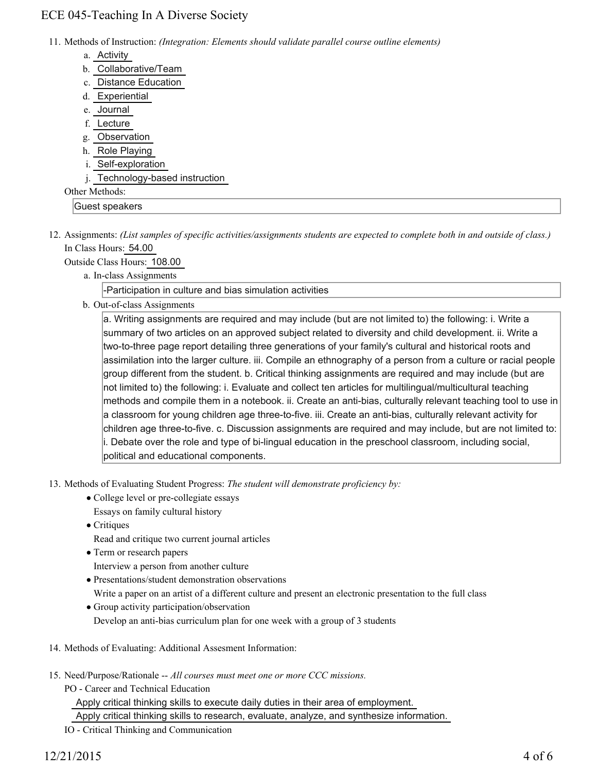11. Methods of Instruction: *(Integration: Elements should validate parallel course outline elements)* 

- a. Activity
- b. Collaborative/Team
- c. Distance Education
- d. Experiential
- e. Journal
- f. Lecture
- g. Observation
- h. Role Playing
- i. Self-exploration
- j. Technology-based instruction

# Other Methods:

Guest speakers

12. Assignments: (List samples of specific activities/assignments students are expected to complete both in and outside of class.) In Class Hours: 54.00

Outside Class Hours: 108.00

a. In-class Assignments

-Participation in culture and bias simulation activities

b. Out-of-class Assignments

a. Writing assignments are required and may include (but are not limited to) the following: i. Write a summary of two articles on an approved subject related to diversity and child development. ii. Write a two-to-three page report detailing three generations of your family's cultural and historical roots and assimilation into the larger culture. iii. Compile an ethnography of a person from a culture or racial people group different from the student. b. Critical thinking assignments are required and may include (but are not limited to) the following: i. Evaluate and collect ten articles for multilingual/multicultural teaching methods and compile them in a notebook. ii. Create an anti-bias, culturally relevant teaching tool to use in a classroom for young children age three-to-five. iii. Create an anti-bias, culturally relevant activity for children age three-to-five. c. Discussion assignments are required and may include, but are not limited to: i. Debate over the role and type of bi-lingual education in the preschool classroom, including social, political and educational components.

13. Methods of Evaluating Student Progress: The student will demonstrate proficiency by:

- College level or pre-collegiate essays
- Essays on family cultural history
- Critiques
	- Read and critique two current journal articles
- Term or research papers

Interview a person from another culture

- Presentations/student demonstration observations
- Write a paper on an artist of a different culture and present an electronic presentation to the full class
- Group activity participation/observation Develop an anti-bias curriculum plan for one week with a group of 3 students
- 14. Methods of Evaluating: Additional Assesment Information:
- 15. Need/Purpose/Rationale -- All courses must meet one or more CCC missions.
	- PO Career and Technical Education Apply critical thinking skills to execute daily duties in their area of employment. Apply critical thinking skills to research, evaluate, analyze, and synthesize information. IO - Critical Thinking and Communication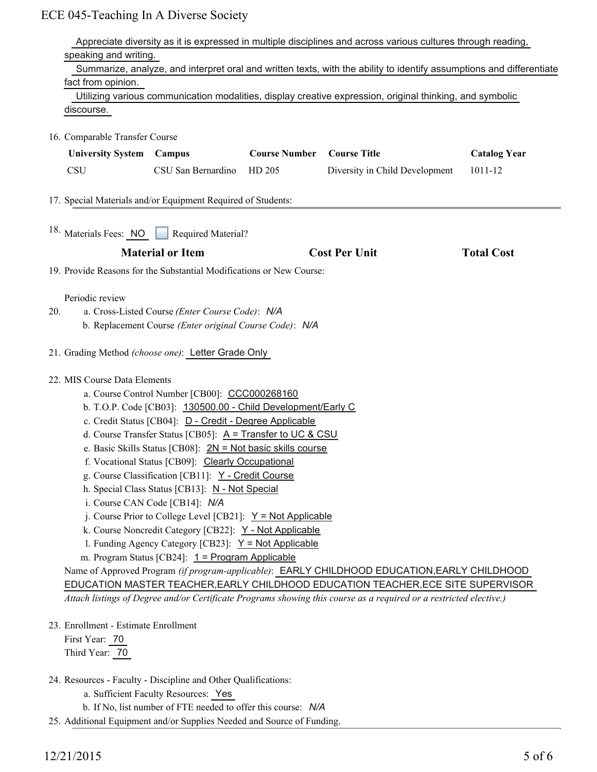|                                                                                                       | Appreciate diversity as it is expressed in multiple disciplines and across various cultures through reading,                                                                                                                                                                                                  |                                                                                                          |                      |                                |                     |  |
|-------------------------------------------------------------------------------------------------------|---------------------------------------------------------------------------------------------------------------------------------------------------------------------------------------------------------------------------------------------------------------------------------------------------------------|----------------------------------------------------------------------------------------------------------|----------------------|--------------------------------|---------------------|--|
|                                                                                                       | speaking and writing.                                                                                                                                                                                                                                                                                         |                                                                                                          |                      |                                |                     |  |
|                                                                                                       | Summarize, analyze, and interpret oral and written texts, with the ability to identify assumptions and differentiate                                                                                                                                                                                          |                                                                                                          |                      |                                |                     |  |
|                                                                                                       | fact from opinion.                                                                                                                                                                                                                                                                                            |                                                                                                          |                      |                                |                     |  |
|                                                                                                       |                                                                                                                                                                                                                                                                                                               | Utilizing various communication modalities, display creative expression, original thinking, and symbolic |                      |                                |                     |  |
|                                                                                                       | discourse.                                                                                                                                                                                                                                                                                                    |                                                                                                          |                      |                                |                     |  |
|                                                                                                       | 16. Comparable Transfer Course                                                                                                                                                                                                                                                                                |                                                                                                          |                      |                                |                     |  |
|                                                                                                       | <b>University System</b>                                                                                                                                                                                                                                                                                      |                                                                                                          | <b>Course Number</b> | <b>Course Title</b>            |                     |  |
|                                                                                                       |                                                                                                                                                                                                                                                                                                               | Campus                                                                                                   |                      |                                | <b>Catalog Year</b> |  |
|                                                                                                       | <b>CSU</b>                                                                                                                                                                                                                                                                                                    | CSU San Bernardino                                                                                       | HD 205               | Diversity in Child Development | 1011-12             |  |
|                                                                                                       |                                                                                                                                                                                                                                                                                                               | 17. Special Materials and/or Equipment Required of Students:                                             |                      |                                |                     |  |
|                                                                                                       |                                                                                                                                                                                                                                                                                                               |                                                                                                          |                      |                                |                     |  |
|                                                                                                       |                                                                                                                                                                                                                                                                                                               | <sup>18</sup> . Materials Fees: NO Required Material?                                                    |                      |                                |                     |  |
|                                                                                                       |                                                                                                                                                                                                                                                                                                               |                                                                                                          |                      |                                |                     |  |
|                                                                                                       |                                                                                                                                                                                                                                                                                                               | <b>Material or Item</b>                                                                                  |                      | <b>Cost Per Unit</b>           | <b>Total Cost</b>   |  |
|                                                                                                       |                                                                                                                                                                                                                                                                                                               | 19. Provide Reasons for the Substantial Modifications or New Course:                                     |                      |                                |                     |  |
|                                                                                                       |                                                                                                                                                                                                                                                                                                               |                                                                                                          |                      |                                |                     |  |
| 20.                                                                                                   | Periodic review                                                                                                                                                                                                                                                                                               | a. Cross-Listed Course (Enter Course Code): N/A                                                          |                      |                                |                     |  |
|                                                                                                       | b. Replacement Course (Enter original Course Code): N/A                                                                                                                                                                                                                                                       |                                                                                                          |                      |                                |                     |  |
|                                                                                                       |                                                                                                                                                                                                                                                                                                               |                                                                                                          |                      |                                |                     |  |
|                                                                                                       | 21. Grading Method (choose one): Letter Grade Only                                                                                                                                                                                                                                                            |                                                                                                          |                      |                                |                     |  |
|                                                                                                       | 22. MIS Course Data Elements                                                                                                                                                                                                                                                                                  |                                                                                                          |                      |                                |                     |  |
|                                                                                                       |                                                                                                                                                                                                                                                                                                               | a. Course Control Number [CB00]: CCC000268160                                                            |                      |                                |                     |  |
|                                                                                                       | b. T.O.P. Code [CB03]: 130500.00 - Child Development/Early C<br>c. Credit Status [CB04]: D - Credit - Degree Applicable<br>d. Course Transfer Status [CB05]: $A =$ Transfer to UC & CSU<br>e. Basic Skills Status [CB08]: $2N = Not basic skills course$<br>f. Vocational Status [CB09]: Clearly Occupational |                                                                                                          |                      |                                |                     |  |
|                                                                                                       |                                                                                                                                                                                                                                                                                                               |                                                                                                          |                      |                                |                     |  |
|                                                                                                       |                                                                                                                                                                                                                                                                                                               |                                                                                                          |                      |                                |                     |  |
|                                                                                                       |                                                                                                                                                                                                                                                                                                               |                                                                                                          |                      |                                |                     |  |
|                                                                                                       |                                                                                                                                                                                                                                                                                                               |                                                                                                          |                      |                                |                     |  |
| g. Course Classification [CB11]: Y - Credit Course<br>h. Special Class Status [CB13]: N - Not Special |                                                                                                                                                                                                                                                                                                               |                                                                                                          |                      |                                |                     |  |
|                                                                                                       |                                                                                                                                                                                                                                                                                                               |                                                                                                          |                      |                                |                     |  |
|                                                                                                       |                                                                                                                                                                                                                                                                                                               | i. Course CAN Code [CB14]: N/A                                                                           |                      |                                |                     |  |
|                                                                                                       |                                                                                                                                                                                                                                                                                                               | j. Course Prior to College Level [CB21]: $Y = Not Applicable$                                            |                      |                                |                     |  |
|                                                                                                       |                                                                                                                                                                                                                                                                                                               | k. Course Noncredit Category [CB22]: Y - Not Applicable                                                  |                      |                                |                     |  |
|                                                                                                       |                                                                                                                                                                                                                                                                                                               | 1. Funding Agency Category [CB23]: $Y = Not Applicable$                                                  |                      |                                |                     |  |
|                                                                                                       | m. Program Status [CB24]: $1 = Program$ Applicable                                                                                                                                                                                                                                                            |                                                                                                          |                      |                                |                     |  |
|                                                                                                       | Name of Approved Program (if program-applicable): EARLY CHILDHOOD EDUCATION, EARLY CHILDHOOD                                                                                                                                                                                                                  |                                                                                                          |                      |                                |                     |  |
|                                                                                                       | EDUCATION MASTER TEACHER, EARLY CHILDHOOD EDUCATION TEACHER, ECE SITE SUPERVISOR<br>Attach listings of Degree and/or Certificate Programs showing this course as a required or a restricted elective.)                                                                                                        |                                                                                                          |                      |                                |                     |  |
|                                                                                                       |                                                                                                                                                                                                                                                                                                               |                                                                                                          |                      |                                |                     |  |
|                                                                                                       | 23. Enrollment - Estimate Enrollment<br>First Year: 70                                                                                                                                                                                                                                                        |                                                                                                          |                      |                                |                     |  |
|                                                                                                       | Third Year: 70                                                                                                                                                                                                                                                                                                |                                                                                                          |                      |                                |                     |  |
|                                                                                                       |                                                                                                                                                                                                                                                                                                               |                                                                                                          |                      |                                |                     |  |
|                                                                                                       |                                                                                                                                                                                                                                                                                                               | 24. Resources - Faculty - Discipline and Other Qualifications:                                           |                      |                                |                     |  |
|                                                                                                       |                                                                                                                                                                                                                                                                                                               | a. Sufficient Faculty Resources: Yes                                                                     |                      |                                |                     |  |
|                                                                                                       |                                                                                                                                                                                                                                                                                                               | b. If No, list number of FTE needed to offer this course: N/A                                            |                      |                                |                     |  |

25. Additional Equipment and/or Supplies Needed and Source of Funding.